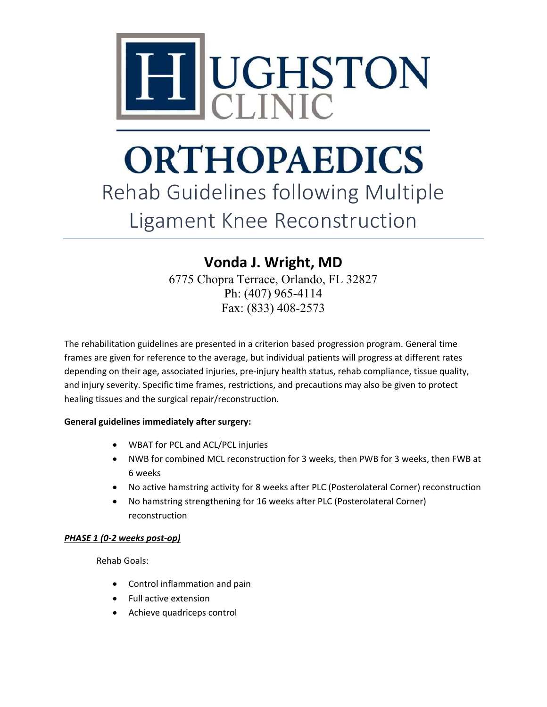

### **ORTHOPAEDICS** Rehab Guidelines following Multiple Ligament Knee Reconstruction

### **Vonda J. Wright, MD**

6775 Chopra Terrace, Orlando, FL 32827 Ph: (407) 965-4114 Fax: (833) 408-2573

The rehabilitation guidelines are presented in a criterion based progression program. General time frames are given for reference to the average, but individual patients will progress at different rates depending on their age, associated injuries, pre-injury health status, rehab compliance, tissue quality, and injury severity. Specific time frames, restrictions, and precautions may also be given to protect healing tissues and the surgical repair/reconstruction.

### **General guidelines immediately after surgery:**

- WBAT for PCL and ACL/PCL injuries
- NWB for combined MCL reconstruction for 3 weeks, then PWB for 3 weeks, then FWB at 6 weeks
- No active hamstring activity for 8 weeks after PLC (Posterolateral Corner) reconstruction
- No hamstring strengthening for 16 weeks after PLC (Posterolateral Corner) reconstruction

### *PHASE 1 (0-2 weeks post-op)*

Rehab Goals:

- Control inflammation and pain
- Full active extension
- Achieve quadriceps control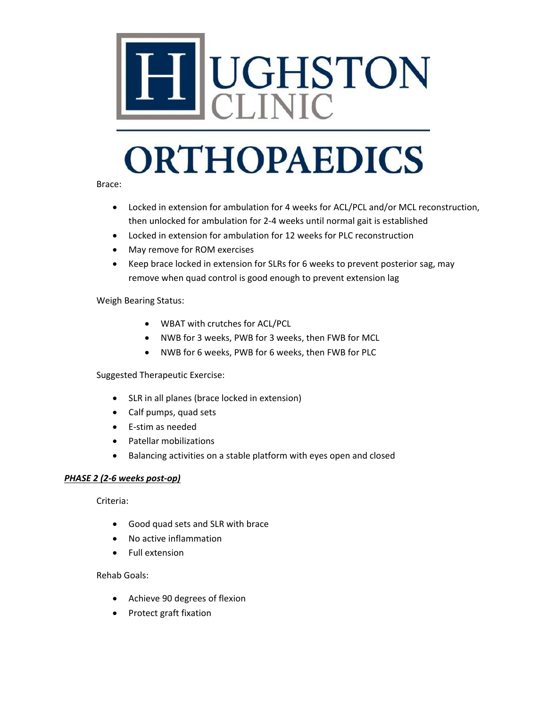

Brace:

- Locked in extension for ambulation for 4 weeks for ACL/PCL and/or MCL reconstruction, then unlocked for ambulation for 2-4 weeks until normal gait is established
- Locked in extension for ambulation for 12 weeks for PLC reconstruction
- May remove for ROM exercises
- Keep brace locked in extension for SLRs for 6 weeks to prevent posterior sag, may remove when quad control is good enough to prevent extension lag

### Weigh Bearing Status:

- WBAT with crutches for ACL/PCL
- NWB for 3 weeks, PWB for 3 weeks, then FWB for MCL
- NWB for 6 weeks, PWB for 6 weeks, then FWB for PLC

Suggested Therapeutic Exercise:

- SLR in all planes (brace locked in extension)
- Calf pumps, quad sets
- E-stim as needed
- Patellar mobilizations
- Balancing activities on a stable platform with eyes open and closed

### *PHASE 2 (2-6 weeks post-op)*

Criteria:

- Good quad sets and SLR with brace
- No active inflammation
- Full extension

### Rehab Goals:

- Achieve 90 degrees of flexion
- Protect graft fixation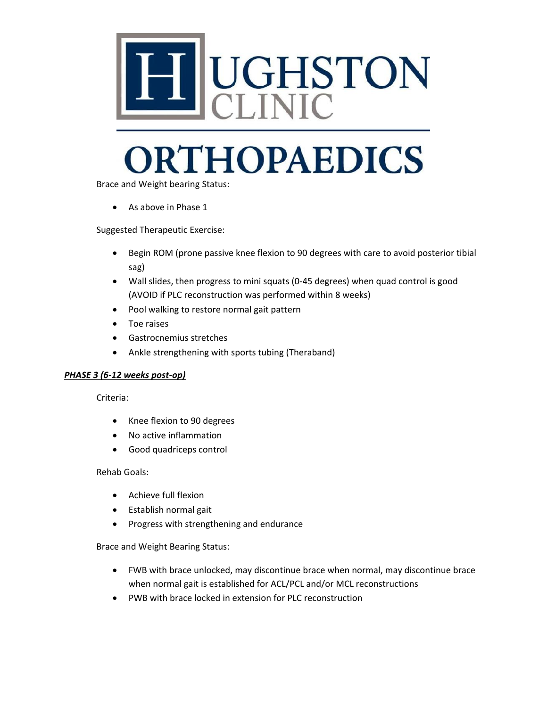

Brace and Weight bearing Status:

• As above in Phase 1

Suggested Therapeutic Exercise:

- Begin ROM (prone passive knee flexion to 90 degrees with care to avoid posterior tibial sag)
- Wall slides, then progress to mini squats (0-45 degrees) when quad control is good (AVOID if PLC reconstruction was performed within 8 weeks)
- Pool walking to restore normal gait pattern
- Toe raises
- Gastrocnemius stretches
- Ankle strengthening with sports tubing (Theraband)

### *PHASE 3 (6-12 weeks post-op)*

Criteria:

- Knee flexion to 90 degrees
- No active inflammation
- Good quadriceps control

Rehab Goals:

- Achieve full flexion
- Establish normal gait
- Progress with strengthening and endurance

Brace and Weight Bearing Status:

- FWB with brace unlocked, may discontinue brace when normal, may discontinue brace when normal gait is established for ACL/PCL and/or MCL reconstructions
- PWB with brace locked in extension for PLC reconstruction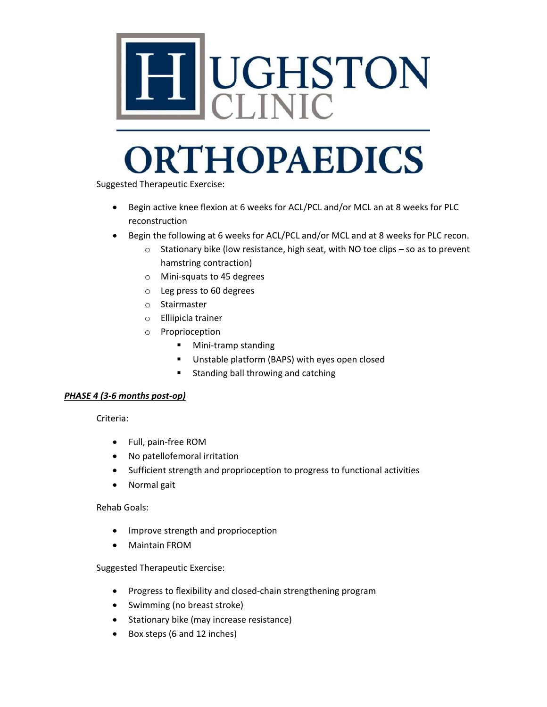

Suggested Therapeutic Exercise:

- Begin active knee flexion at 6 weeks for ACL/PCL and/or MCL an at 8 weeks for PLC reconstruction
- Begin the following at 6 weeks for ACL/PCL and/or MCL and at 8 weeks for PLC recon.
	- o Stationary bike (low resistance, high seat, with NO toe clips so as to prevent hamstring contraction)
	- o Mini-squats to 45 degrees
	- o Leg press to 60 degrees
	- o Stairmaster
	- o Elliipicla trainer
	- o Proprioception
		- **Mini-tramp standing**
		- **Unstable platform (BAPS) with eyes open closed**
		- **Standing ball throwing and catching**

### *PHASE 4 (3-6 months post-op)*

Criteria:

- Full, pain-free ROM
- No patellofemoral irritation
- Sufficient strength and proprioception to progress to functional activities
- Normal gait

### Rehab Goals:

- Improve strength and proprioception
- Maintain FROM

Suggested Therapeutic Exercise:

- Progress to flexibility and closed-chain strengthening program
- Swimming (no breast stroke)
- Stationary bike (may increase resistance)
- Box steps (6 and 12 inches)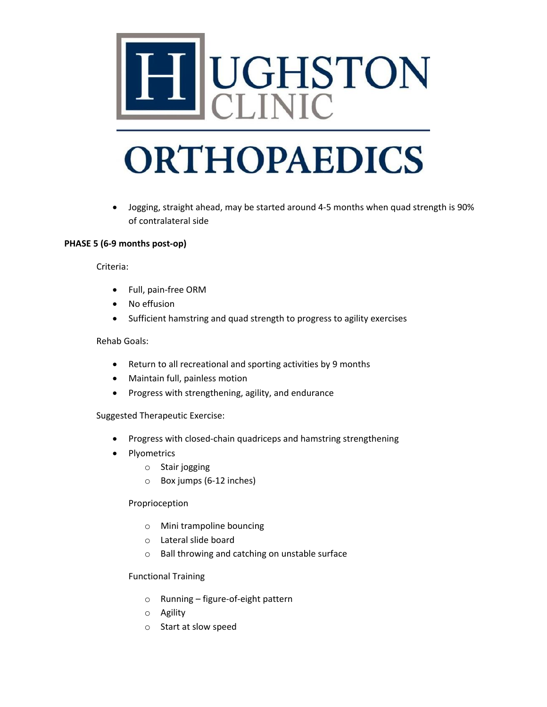

• Jogging, straight ahead, may be started around 4-5 months when quad strength is 90% of contralateral side

### **PHASE 5 (6-9 months post-op)**

Criteria:

- Full, pain-free ORM
- No effusion
- Sufficient hamstring and quad strength to progress to agility exercises

### Rehab Goals:

- Return to all recreational and sporting activities by 9 months
- Maintain full, painless motion
- Progress with strengthening, agility, and endurance

Suggested Therapeutic Exercise:

- Progress with closed-chain quadriceps and hamstring strengthening
- Plyometrics
	- o Stair jogging
	- o Box jumps (6-12 inches)

### Proprioception

- o Mini trampoline bouncing
- o Lateral slide board
- o Ball throwing and catching on unstable surface

### Functional Training

- o Running figure-of-eight pattern
- o Agility
- o Start at slow speed